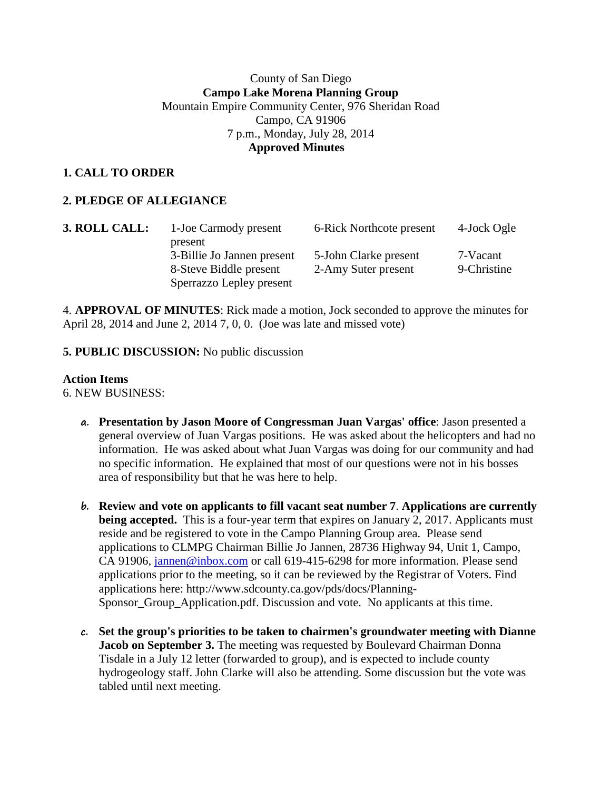### County of San Diego **Campo Lake Morena Planning Group** Mountain Empire Community Center, 976 Sheridan Road Campo, CA 91906 7 p.m., Monday, July 28, 2014  **Approved Minutes**

# **1. CALL TO ORDER**

# **2. PLEDGE OF ALLEGIANCE**

| 3. ROLL CALL: | 1-Joe Carmody present      | 6-Rick Northcote present | 4-Jock Ogle |
|---------------|----------------------------|--------------------------|-------------|
|               | present                    |                          |             |
|               | 3-Billie Jo Jannen present | 5-John Clarke present    | 7-Vacant    |
|               | 8-Steve Biddle present     | 2-Amy Suter present      | 9-Christine |
|               | Sperrazzo Lepley present   |                          |             |

4. **APPROVAL OF MINUTES**: Rick made a motion, Jock seconded to approve the minutes for April 28, 2014 and June 2, 2014 7, 0, 0. (Joe was late and missed vote)

#### **5. PUBLIC DISCUSSION:** No public discussion

#### **Action Items**

6. NEW BUSINESS:

- **a. Presentation by Jason Moore of Congressman Juan Vargas' office**: Jason presented a general overview of Juan Vargas positions. He was asked about the helicopters and had no information. He was asked about what Juan Vargas was doing for our community and had no specific information. He explained that most of our questions were not in his bosses area of responsibility but that he was here to help.
- **b. Review and vote on applicants to fill vacant seat number 7**. **Applications are currently being accepted.** This is a four-year term that expires on January 2, 2017. Applicants must reside and be registered to vote in the Campo Planning Group area. Please send applications to CLMPG Chairman Billie Jo Jannen, 28736 Highway 94, Unit 1, Campo, CA 91906, [jannen@inbox.com](mailto:campojoe@yahoo.com) or call 619-415-6298 for more information. Please send applications prior to the meeting, so it can be reviewed by the Registrar of Voters. Find applications here: http://www.sdcounty.ca.gov/pds/docs/Planning-Sponsor\_Group\_Application.pdf. Discussion and vote. No applicants at this time.
- **c. Set the group's priorities to be taken to chairmen's groundwater meeting with Dianne Jacob on September 3.** The meeting was requested by Boulevard Chairman Donna Tisdale in a July 12 letter (forwarded to group), and is expected to include county hydrogeology staff. John Clarke will also be attending. Some discussion but the vote was tabled until next meeting.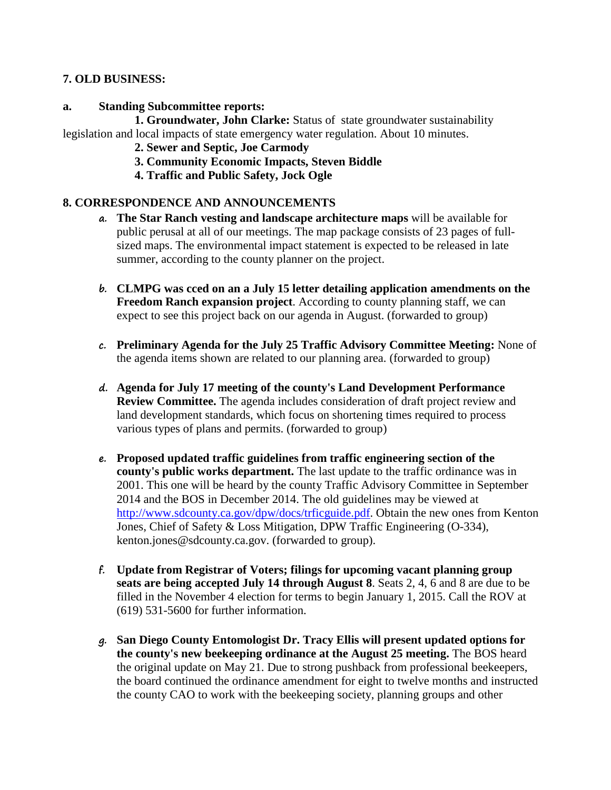### **7. OLD BUSINESS:**

### **a. Standing Subcommittee reports:**

**1. Groundwater, John Clarke:** Status of state groundwater sustainability legislation and local impacts of state emergency water regulation. About 10 minutes.

- **2. Sewer and Septic, Joe Carmody**
- **3. Community Economic Impacts, Steven Biddle**
- **4. Traffic and Public Safety, Jock Ogle**

### **8. CORRESPONDENCE AND ANNOUNCEMENTS**

- **a. The Star Ranch vesting and landscape architecture maps** will be available for public perusal at all of our meetings. The map package consists of 23 pages of fullsized maps. The environmental impact statement is expected to be released in late summer, according to the county planner on the project.
- **b. CLMPG was cced on an a July 15 letter detailing application amendments on the Freedom Ranch expansion project**. According to county planning staff, we can expect to see this project back on our agenda in August. (forwarded to group)
- **c. Preliminary Agenda for the July 25 Traffic Advisory Committee Meeting:** None of the agenda items shown are related to our planning area. (forwarded to group)
- **d. Agenda for July 17 meeting of the county's Land Development Performance Review Committee.** The agenda includes consideration of draft project review and land development standards, which focus on shortening times required to process various types of plans and permits. (forwarded to group)
- **e. Proposed updated traffic guidelines from traffic engineering section of the county's public works department.** The last update to the traffic ordinance was in 2001. This one will be heard by the county Traffic Advisory Committee in September 2014 and the BOS in December 2014. The old guidelines may be viewed at [http://www.sdcounty.ca.gov/dpw/docs/trficguide.pdf.](http://www.sdcounty.ca.gov/dpw/docs/trficguide.pdf) Obtain the new ones from Kenton Jones, Chief of Safety & Loss Mitigation, DPW Traffic Engineering (O-334), kenton.jones@sdcounty.ca.gov. (forwarded to group).
- **f. Update from Registrar of Voters; filings for upcoming vacant planning group seats are being accepted July 14 through August 8**. Seats 2, 4, 6 and 8 are due to be filled in the November 4 election for terms to begin January 1, 2015. Call the ROV at (619) 531-5600 for further information.
- **g. San Diego County Entomologist Dr. Tracy Ellis will present updated options for the county's new beekeeping ordinance at the August 25 meeting.** The BOS heard the original update on May 21. Due to strong pushback from professional beekeepers, the board continued the ordinance amendment for eight to twelve months and instructed the county CAO to work with the beekeeping society, planning groups and other